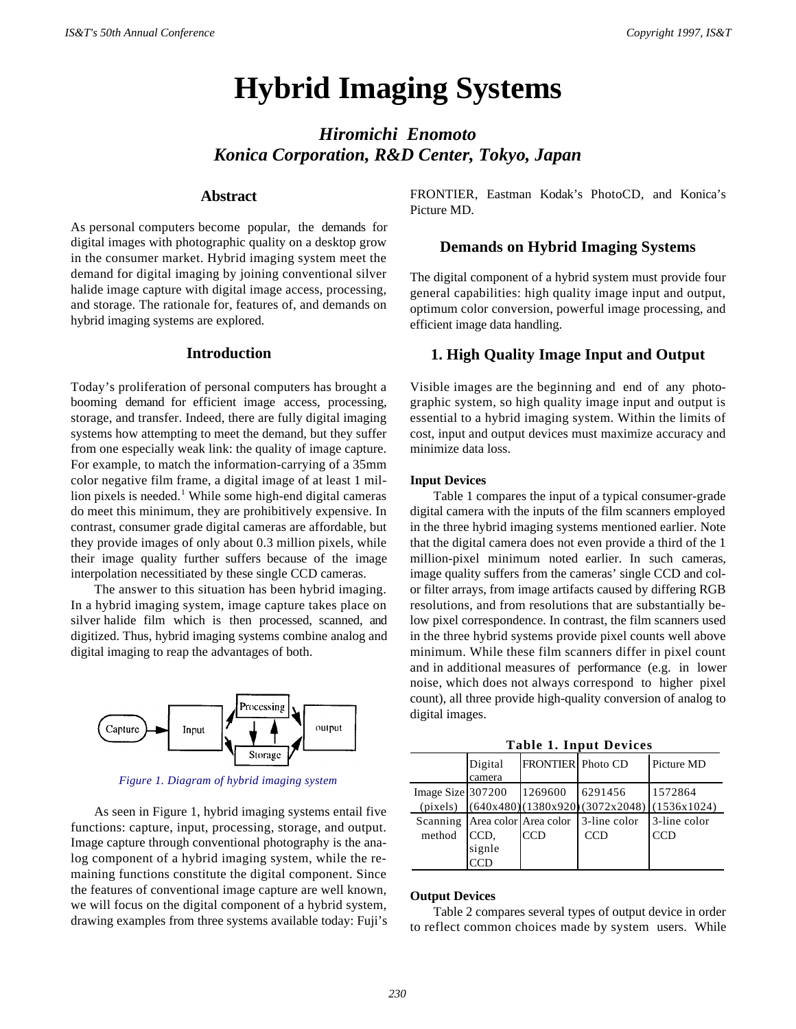# **Hybrid Imaging Systems**

*Hiromichi Enomoto Konica Corporation, R&D Center, Tokyo, Japan*

# **Abstract**

As personal computers become popular, the demands for digital images with photographic quality on a desktop grow in the consumer market. Hybrid imaging system meet the demand for digital imaging by joining conventional silver halide image capture with digital image access, processing, and storage. The rationale for, features of, and demands on hybrid imaging systems are explored.

# **Introduction**

Today's proliferation of personal computers has brought a booming demand for efficient image access, processing, storage, and transfer. Indeed, there are fully digital imaging systems how attempting to meet the demand, but they suffer from one especially weak link: the quality of image capture. For example, to match the information-carrying of a 35mm color negative film frame, a digital image of at least 1 million pixels is needed.<sup>1</sup> While some high-end digital cameras do meet this minimum, they are prohibitively expensive. In contrast, consumer grade digital cameras are affordable, but they provide images of only about 0.3 million pixels, while their image quality further suffers because of the image interpolation necessitiated by these single CCD cameras.

The answer to this situation has been hybrid imaging. In a hybrid imaging system, image capture takes place on silver halide film which is then processed, scanned, and digitized. Thus, hybrid imaging systems combine analog and digital imaging to reap the advantages of both.



*Figure 1. Diagram of hybrid imaging system*

As seen in Figure 1, hybrid imaging systems entail five functions: capture, input, processing, storage, and output. Image capture through conventional photography is the analog component of a hybrid imaging system, while the remaining functions constitute the digital component. Since the features of conventional image capture are well known, we will focus on the digital component of a hybrid system, drawing examples from three systems available today: Fuji's FRONTIER, Eastman Kodak's PhotoCD, and Konica's Picture MD.

## **Demands on Hybrid Imaging Systems**

The digital component of a hybrid system must provide four general capabilities: high quality image input and output, optimum color conversion, powerful image processing, and efficient image data handling.

# **1. High Quality Image Input and Output**

Visible images are the beginning and end of any photographic system, so high quality image input and output is essential to a hybrid imaging system. Within the limits of cost, input and output devices must maximize accuracy and minimize data loss.

#### **Input Devices**

Table 1 compares the input of a typical consumer-grade digital camera with the inputs of the film scanners employed in the three hybrid imaging systems mentioned earlier. Note that the digital camera does not even provide a third of the 1 million-pixel minimum noted earlier. In such cameras, image quality suffers from the cameras' single CCD and color filter arrays, from image artifacts caused by differing RGB resolutions, and from resolutions that are substantially below pixel correspondence. In contrast, the film scanners used in the three hybrid systems provide pixel counts well above minimum. While these film scanners differ in pixel count and in additional measures of performance (e.g. in lower noise, which does not always correspond to higher pixel count), all three provide high-quality conversion of analog to digital images.

**Table 1. Input Devices**

|                      | Digital<br>camera                  | <b>FRONTIER</b> Photo CD |                                                                   | Picture MD   |
|----------------------|------------------------------------|--------------------------|-------------------------------------------------------------------|--------------|
| Image Size $ 307200$ |                                    | 1269600                  | 6291456<br>$(pixels)$ $(640x480)(1380x920)(3072x2048)(1536x1024)$ | 11572864     |
|                      | Scanning   Area color   Area color |                          | 3-line color                                                      | 3-line color |
| method               | CCD.                               | <b>CCD</b>               | <b>CCD</b>                                                        | CCD          |
|                      | signle                             |                          |                                                                   |              |
|                      |                                    |                          |                                                                   |              |

#### **Output Devices**

Table 2 compares several types of output device in order to reflect common choices made by system users. While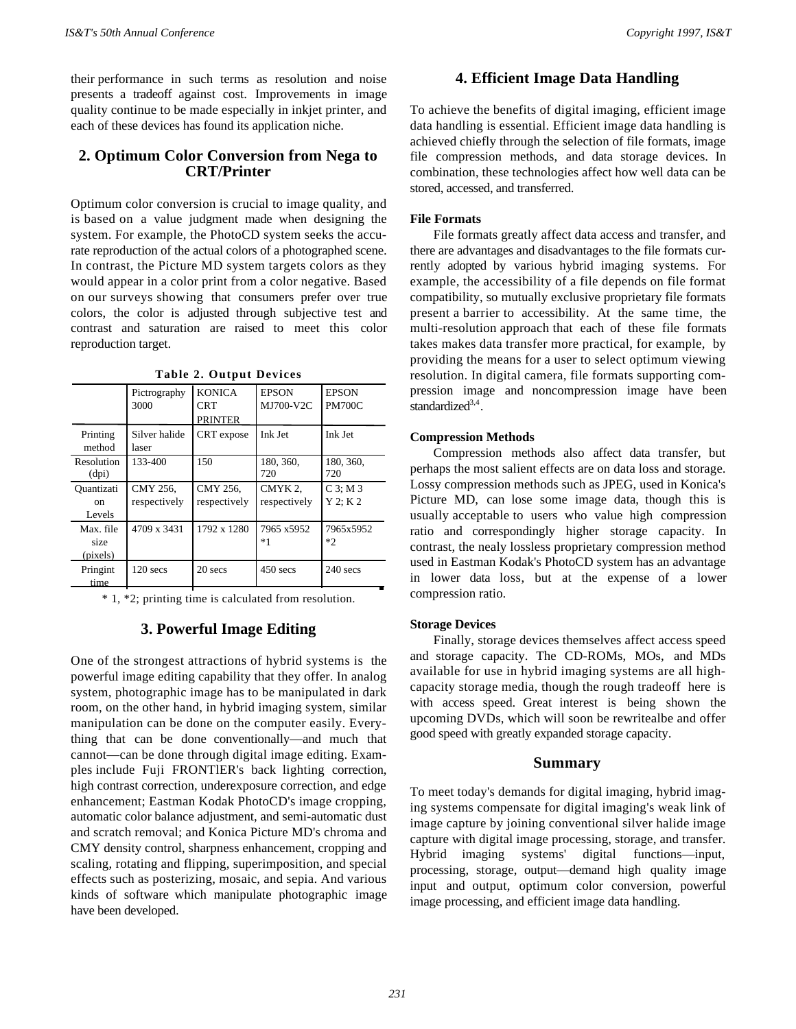their performance in such terms as resolution and noise presents a tradeoff against cost. Improvements in image quality continue to be made especially in inkjet printer, and each of these devices has found its application niche.

# **2. Optimum Color Conversion from Nega to CRT/Printer**

Optimum color conversion is crucial to image quality, and is based on a value judgment made when designing the system. For example, the PhotoCD system seeks the accurate reproduction of the actual colors of a photographed scene. In contrast, the Picture MD system targets colors as they would appear in a color print from a color negative. Based on our surveys showing that consumers prefer over true colors, the color is adjusted through subjective test and contrast and saturation are raised to meet this color reproduction target.

|                               | Pictrography<br>3000     | <b>KONICA</b><br><b>CRT</b><br><b>PRINTER</b> | <b>EPSON</b><br>MJ700-V2C | <b>EPSON</b><br><b>PM700C</b> |
|-------------------------------|--------------------------|-----------------------------------------------|---------------------------|-------------------------------|
| Printing<br>method            | Silver halide<br>laser   | CRT expose                                    | Ink Jet                   | Ink Jet                       |
| Resolution<br>(dpi)           | 133-400                  | 150                                           | 180, 360,<br>720          | 180, 360,<br>720              |
| Quantizati<br>on<br>Levels    | CMY 256,<br>respectively | CMY 256,<br>respectively                      | CMYK 2.<br>respectively   | $C_3$ : M 3<br>Y 2: K 2       |
| Max. file<br>size<br>(pixels) | 4709 x 3431              | 1792 x 1280                                   | 7965 x5952<br>*1          | 7965x5952<br>$*2$             |
| Pringint<br>time              | $120$ secs               | 20 secs                                       | $450$ secs                | $240$ secs                    |

**Table 2. Output Devices**

\* 1, \*2; printing time is calculated from resolution.

# **3. Powerful Image Editing**

One of the strongest attractions of hybrid systems is the powerful image editing capability that they offer. In analog system, photographic image has to be manipulated in dark room, on the other hand, in hybrid imaging system, similar manipulation can be done on the computer easily. Everything that can be done conventionally—and much that cannot—can be done through digital image editing. Examples include Fuji FRONTlER's back lighting correction, high contrast correction, underexposure correction, and edge enhancement; Eastman Kodak PhotoCD's image cropping, automatic color balance adjustment, and semi-automatic dust and scratch removal; and Konica Picture MD's chroma and CMY density control, sharpness enhancement, cropping and scaling, rotating and flipping, superimposition, and special effects such as posterizing, mosaic, and sepia. And various kinds of software which manipulate photographic image have been developed.

# **4. Efficient Image Data Handling**

To achieve the benefits of digital imaging, efficient image data handling is essential. Efficient image data handling is achieved chiefly through the selection of file formats, image file compression methods, and data storage devices. In combination, these technologies affect how well data can be stored, accessed, and transferred.

# **File Formats**

File formats greatly affect data access and transfer, and there are advantages and disadvantages to the file formats currently adopted by various hybrid imaging systems. For example, the accessibility of a file depends on file format compatibility, so mutually exclusive proprietary file formats present a barrier to accessibility. At the same time, the multi-resolution approach that each of these file formats takes makes data transfer more practical, for example, by providing the means for a user to select optimum viewing resolution. In digital camera, file formats supporting compression image and noncompression image have been standardized<sup>3,4</sup>.

## **Compression Methods**

Compression methods also affect data transfer, but perhaps the most salient effects are on data loss and storage. Lossy compression methods such as JPEG, used in Konica's Picture MD, can lose some image data, though this is usually acceptable to users who value high compression ratio and correspondingly higher storage capacity. In contrast, the nealy lossless proprietary compression method used in Eastman Kodak's PhotoCD system has an advantage in lower data loss, but at the expense of a lower compression ratio.

## **Storage Devices**

Finally, storage devices themselves affect access speed and storage capacity. The CD-ROMs, MOs, and MDs available for use in hybrid imaging systems are all highcapacity storage media, though the rough tradeoff here is with access speed. Great interest is being shown the upcoming DVDs, which will soon be rewritealbe and offer good speed with greatly expanded storage capacity.

# **Summary**

To meet today's demands for digital imaging, hybrid imaging systems compensate for digital imaging's weak link of image capture by joining conventional silver halide image capture with digital image processing, storage, and transfer. Hybrid imaging systems' digital functions—input, processing, storage, output—demand high quality image input and output, optimum color conversion, powerful image processing, and efficient image data handling.